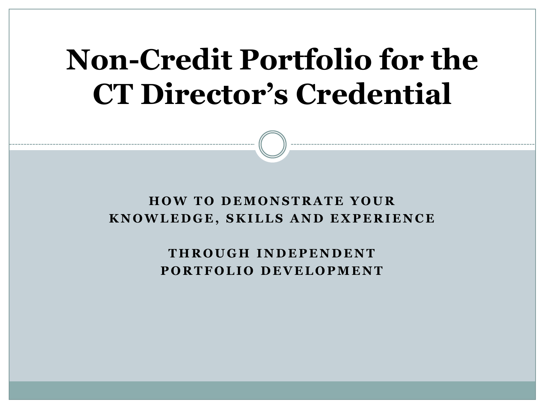# **Non-Credit Portfolio for the CT Director's Credential**

#### **HOW TO DEMONSTRATE YOUR KNOWLEDGE, SKILLS AND EXPERIENCE**

**THROUGH INDEPENDENT PORTFOLIO DEVELOPMENT**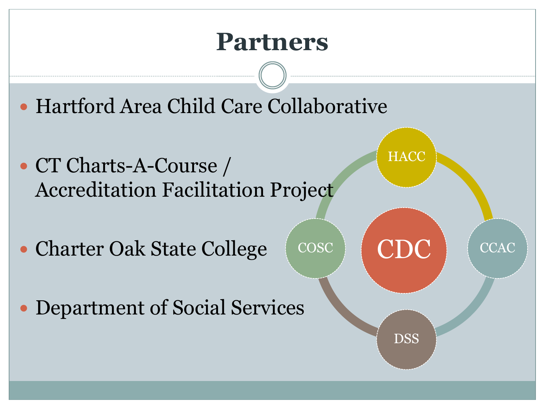#### **Partners**

- Hartford Area Child Care Collaborative
- CT Charts-A-Course / Accreditation Facilitation Project
- Charter Oak State College
- Department of Social Services



**HACC**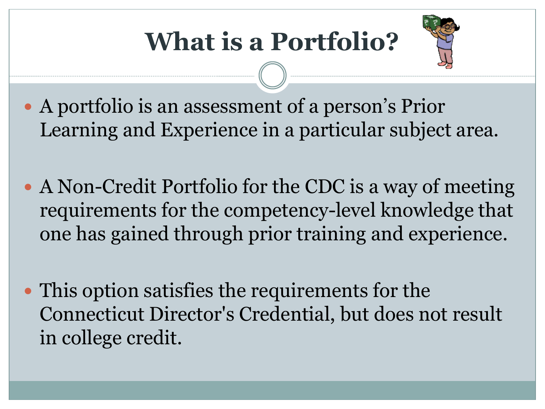

- A portfolio is an assessment of a person's Prior Learning and Experience in a particular subject area.
- A Non-Credit Portfolio for the CDC is a way of meeting requirements for the competency-level knowledge that one has gained through prior training and experience.
- This option satisfies the requirements for the Connecticut Director's Credential, but does not result in college credit.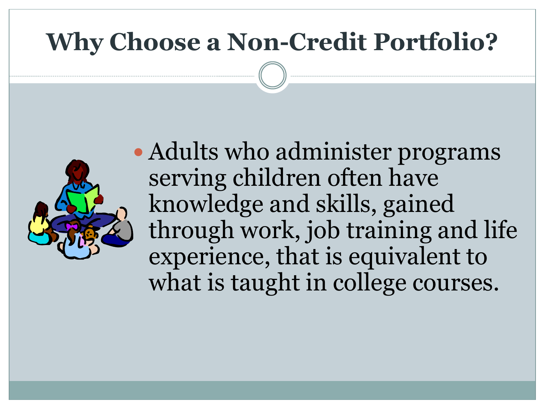#### **Why Choose a Non-Credit Portfolio?**



• Adults who administer programs serving children often have knowledge and skills, gained through work, job training and life experience, that is equivalent to what is taught in college courses.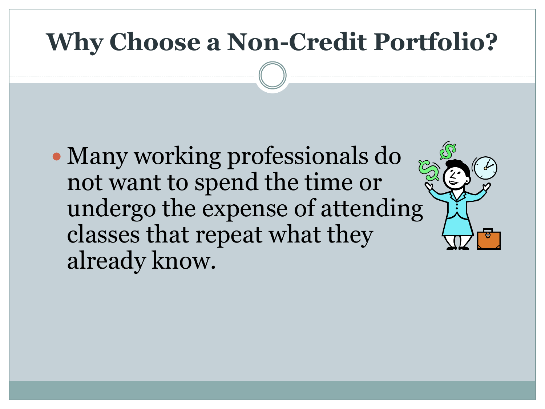#### **Why Choose a Non-Credit Portfolio?**

• Many working professionals do not want to spend the time or undergo the expense of attending classes that repeat what they already know.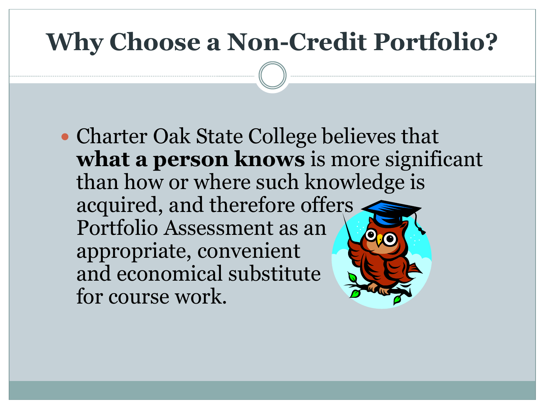#### **Why Choose a Non-Credit Portfolio?**

• Charter Oak State College believes that **what a person knows** is more significant than how or where such knowledge is acquired, and therefore offers Portfolio Assessment as an appropriate, convenient and economical substitute for course work.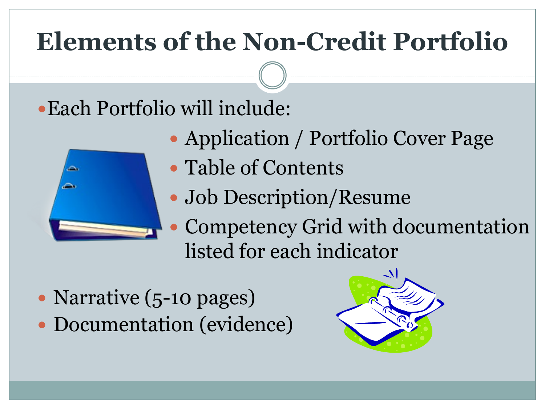# **Elements of the Non-Credit Portfolio**

#### Each Portfolio will include:

Application / Portfolio Cover Page



- Table of Contents
- Job Description/Resume
- Competency Grid with documentation listed for each indicator
- Narrative (5-10 pages) • Documentation (evidence)

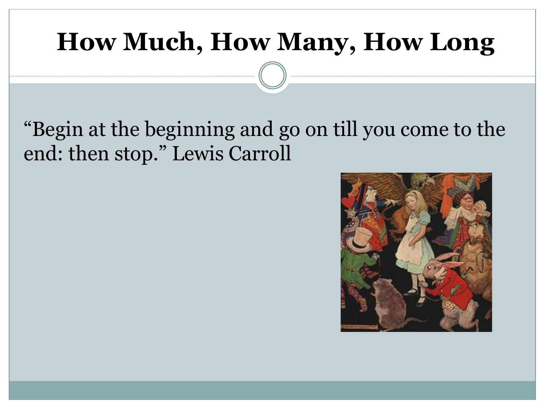#### **How Much, How Many, How Long**

#### "Begin at the beginning and go on till you come to the end: then stop." Lewis Carroll

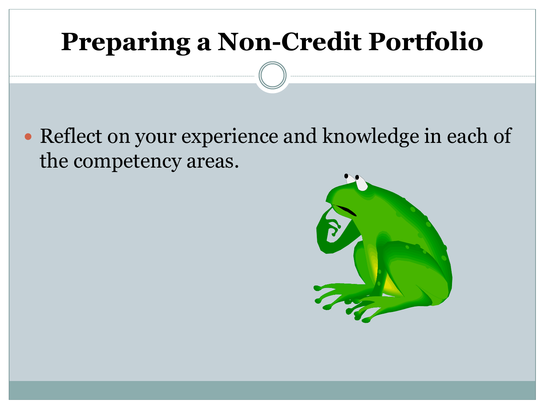Reflect on your experience and knowledge in each of the competency areas.

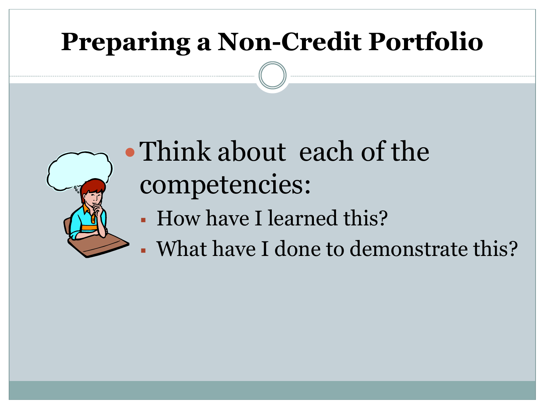

# Think about each of the competencies:

- How have I learned this?
- What have I done to demonstrate this?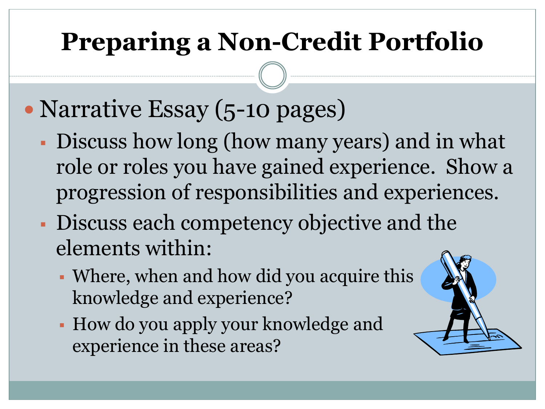- Narrative Essay (5-10 pages)
	- Discuss how long (how many years) and in what role or roles you have gained experience. Show a progression of responsibilities and experiences.
	- Discuss each competency objective and the elements within:
		- Where, when and how did you acquire this knowledge and experience?
		- How do you apply your knowledge and experience in these areas?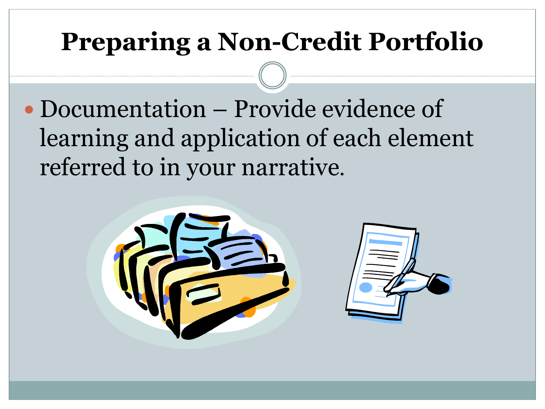Documentation – Provide evidence of learning and application of each element referred to in your narrative.

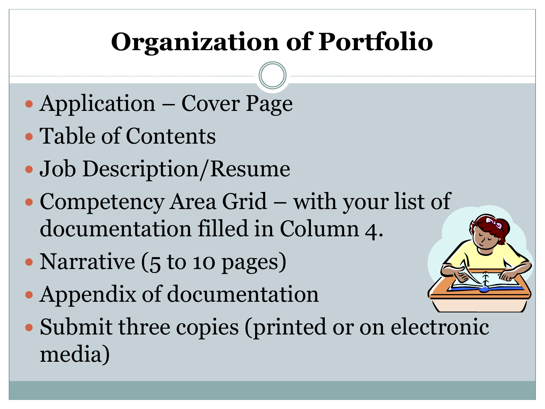# **Organization of Portfolio**

- Application Cover Page
- Table of Contents
- Job Description/Resume
- Competency Area Grid with your list of documentation filled in Column 4.
- Narrative (5 to 10 pages)
- Appendix of documentation
- Submit three copies (printed or on electronic media)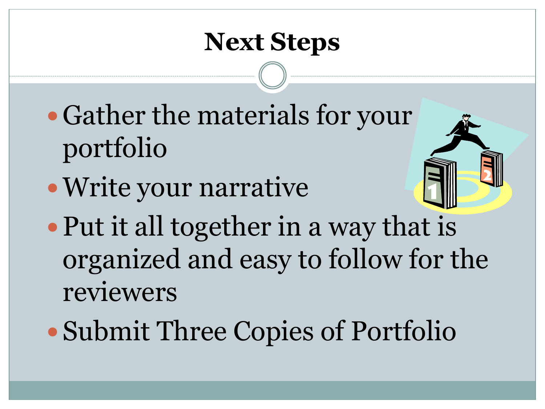#### **Next Steps**

- Gather the materials for your portfolio
- Write your narrative



- Put it all together in a way that is organized and easy to follow for the reviewers
- Submit Three Copies of Portfolio